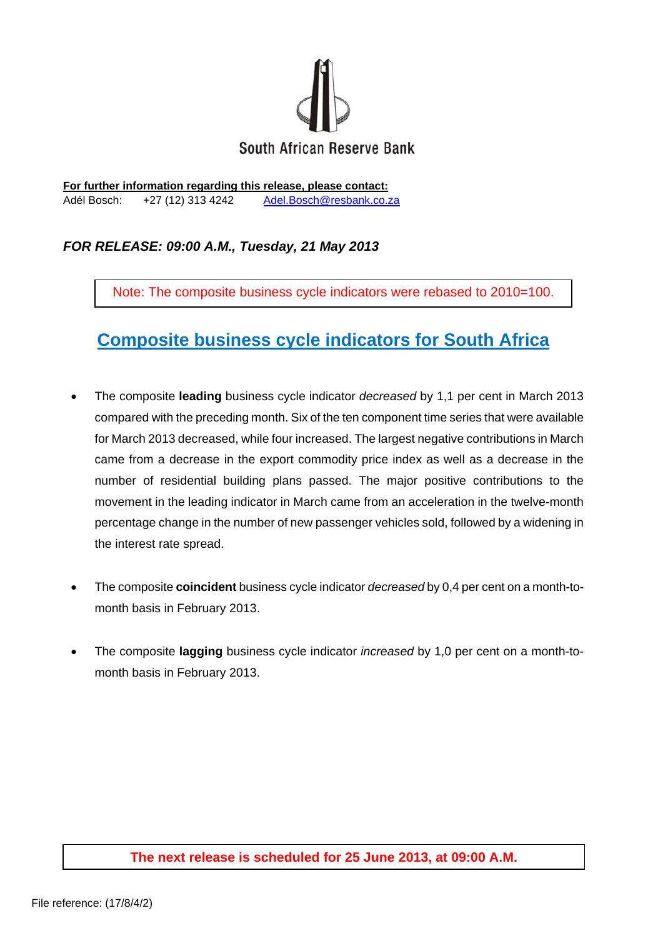

**For further information regarding this release, please contact:**  Adél Bosch: +27 (12) 313 4242 Adel.Bosch@resbank.co.za

# *FOR RELEASE: 09:00 A.M., Tuesday, 21 May 2013*

Note: The composite business cycle indicators were rebased to 2010=100.

# **Composite business cycle indicators for South Africa**

- The composite **leading** business cycle indicator *decreased* by 1,1 per cent in March 2013 compared with the preceding month. Six of the ten component time series that were available for March 2013 decreased, while four increased. The largest negative contributions in March came from a decrease in the export commodity price index as well as a decrease in the number of residential building plans passed. The major positive contributions to the movement in the leading indicator in March came from an acceleration in the twelve-month percentage change in the number of new passenger vehicles sold, followed by a widening in the interest rate spread.
- The composite **coincident** business cycle indicator *decreased* by 0,4 per cent on a month-tomonth basis in February 2013.
- The composite **lagging** business cycle indicator *increased* by 1,0 per cent on a month-tomonth basis in February 2013.

### **The next release is scheduled for 25 June 2013, at 09:00 A.M.**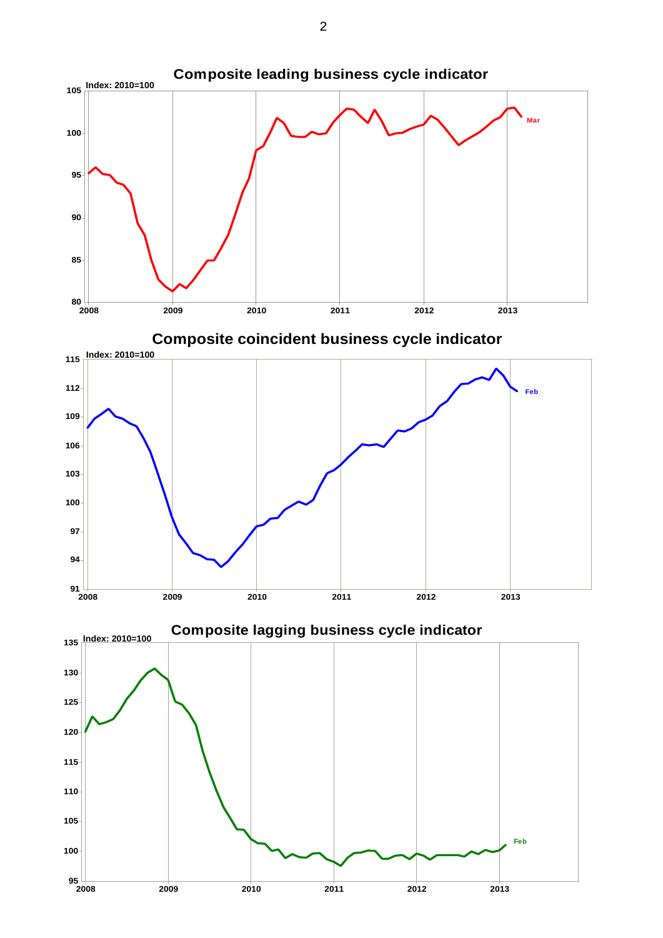